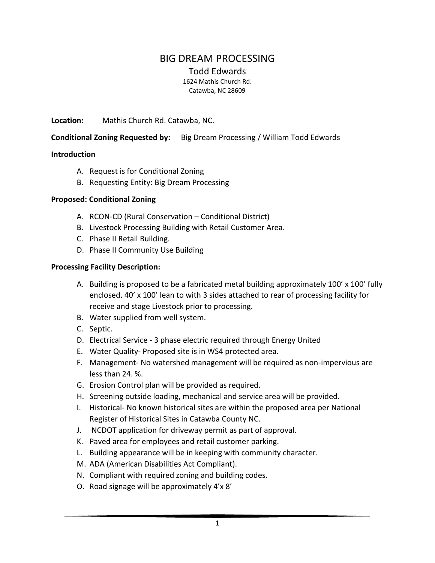# BIG DREAM PROCESSING

Todd Edwards

1624 Mathis Church Rd. Catawba, NC 28609

**Location:** Mathis Church Rd. Catawba, NC.

#### **Conditional Zoning Requested by:** Big Dream Processing / William Todd Edwards

#### **Introduction**

- A. Request is for Conditional Zoning
- B. Requesting Entity: Big Dream Processing

#### **Proposed: Conditional Zoning**

- A. RCON-CD (Rural Conservation Conditional District)
- B. Livestock Processing Building with Retail Customer Area.
- C. Phase II Retail Building.
- D. Phase II Community Use Building

#### **Processing Facility Description:**

- A. Building is proposed to be a fabricated metal building approximately 100' x 100' fully enclosed. 40' x 100' lean to with 3 sides attached to rear of processing facility for receive and stage Livestock prior to processing.
- B. Water supplied from well system.
- C. Septic.
- D. Electrical Service 3 phase electric required through Energy United
- E. Water Quality- Proposed site is in WS4 protected area.
- F. Management- No watershed management will be required as non-impervious are less than 24. %.
- G. Erosion Control plan will be provided as required.
- H. Screening outside loading, mechanical and service area will be provided.
- I. Historical- No known historical sites are within the proposed area per National Register of Historical Sites in Catawba County NC.
- J. NCDOT application for driveway permit as part of approval.
- K. Paved area for employees and retail customer parking.
- L. Building appearance will be in keeping with community character.
- M. ADA (American Disabilities Act Compliant).
- N. Compliant with required zoning and building codes.
- O. Road signage will be approximately 4'x 8'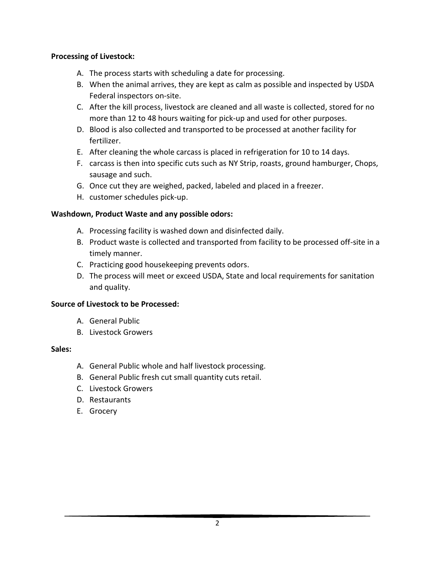### **Processing of Livestock:**

- A. The process starts with scheduling a date for processing.
- B. When the animal arrives, they are kept as calm as possible and inspected by USDA Federal inspectors on-site.
- C. After the kill process, livestock are cleaned and all waste is collected, stored for no more than 12 to 48 hours waiting for pick-up and used for other purposes.
- D. Blood is also collected and transported to be processed at another facility for fertilizer.
- E. After cleaning the whole carcass is placed in refrigeration for 10 to 14 days.
- F. carcass is then into specific cuts such as NY Strip, roasts, ground hamburger, Chops, sausage and such.
- G. Once cut they are weighed, packed, labeled and placed in a freezer.
- H. customer schedules pick-up.

# **Washdown, Product Waste and any possible odors:**

- A. Processing facility is washed down and disinfected daily.
- B. Product waste is collected and transported from facility to be processed off-site in a timely manner.
- C. Practicing good housekeeping prevents odors.
- D. The process will meet or exceed USDA, State and local requirements for sanitation and quality.

# **Source of Livestock to be Processed:**

- A. General Public
- B. Livestock Growers

# **Sales:**

- A. General Public whole and half livestock processing.
- B. General Public fresh cut small quantity cuts retail.
- C. Livestock Growers
- D. Restaurants
- E. Grocery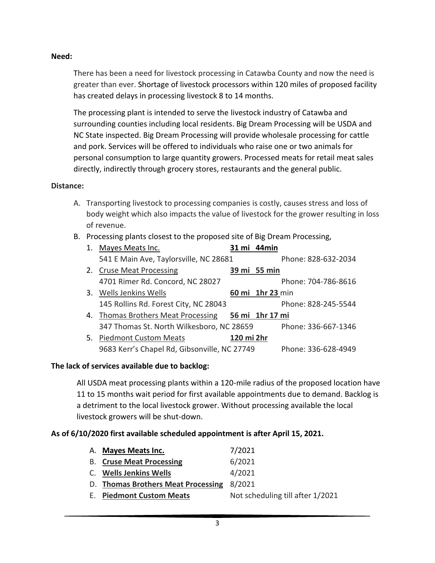### **Need:**

There has been a need for livestock processing in Catawba County and now the need is greater than ever. Shortage of livestock processors within 120 miles of proposed facility has created delays in processing livestock 8 to 14 months.

The processing plant is intended to serve the livestock industry of Catawba and surrounding counties including local residents. Big Dream Processing will be USDA and NC State inspected. Big Dream Processing will provide wholesale processing for cattle and pork. Services will be offered to individuals who raise one or two animals for personal consumption to large quantity growers. Processed meats for retail meat sales directly, indirectly through grocery stores, restaurants and the general public.

#### **Distance:**

- A. Transporting livestock to processing companies is costly, causes stress and loss of body weight which also impacts the value of livestock for the grower resulting in loss of revenue.
- B. Processing plants closest to the proposed site of Big Dream Processing,

| 1. | Mayes Meats Inc.                             |            | 31 mi 44 min     |                     |
|----|----------------------------------------------|------------|------------------|---------------------|
|    | 541 E Main Ave, Taylorsville, NC 28681       |            |                  | Phone: 828-632-2034 |
| 2. | <b>Cruse Meat Processing</b>                 |            | 39 mi 55 min     |                     |
|    | 4701 Rimer Rd. Concord, NC 28027             |            |                  | Phone: 704-786-8616 |
|    | 3. Wells Jenkins Wells                       |            | 60 mi 1hr 23 min |                     |
|    | 145 Rollins Rd. Forest City, NC 28043        |            |                  | Phone: 828-245-5544 |
|    | 4. Thomas Brothers Meat Processing           |            | 56 mi 1hr 17 mi  |                     |
|    | 347 Thomas St. North Wilkesboro, NC 28659    |            |                  | Phone: 336-667-1346 |
| 5. | <b>Piedmont Custom Meats</b>                 | 120 mi 2hr |                  |                     |
|    | 9683 Kerr's Chapel Rd, Gibsonville, NC 27749 |            |                  | Phone: 336-628-4949 |

### **The lack of services available due to backlog:**

All USDA meat processing plants within a 120-mile radius of the proposed location have 11 to 15 months wait period for first available appointments due to demand. Backlog is a detriment to the local livestock grower. Without processing available the local livestock growers will be shut-down.

### **As of 6/10/2020 first available scheduled appointment is after April 15, 2021.**

| A. Mayes Meats Inc.                | 7/2021                           |
|------------------------------------|----------------------------------|
| <b>B.</b> Cruse Meat Processing    | 6/2021                           |
| C. Wells Jenkins Wells             | 4/2021                           |
| D. Thomas Brothers Meat Processing | 8/2021                           |
| <b>E.</b> Piedmont Custom Meats    | Not scheduling till after 1/2021 |
|                                    |                                  |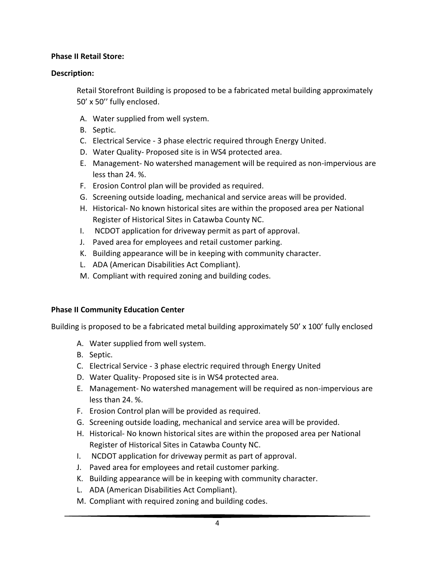### **Phase II Retail Store:**

#### **Description:**

Retail Storefront Building is proposed to be a fabricated metal building approximately 50' x 50'' fully enclosed.

- A. Water supplied from well system.
- B. Septic.
- C. Electrical Service 3 phase electric required through Energy United.
- D. Water Quality- Proposed site is in WS4 protected area.
- E. Management- No watershed management will be required as non-impervious are less than 24. %.
- F. Erosion Control plan will be provided as required.
- G. Screening outside loading, mechanical and service areas will be provided.
- H. Historical- No known historical sites are within the proposed area per National Register of Historical Sites in Catawba County NC.
- I. NCDOT application for driveway permit as part of approval.
- J. Paved area for employees and retail customer parking.
- K. Building appearance will be in keeping with community character.
- L. ADA (American Disabilities Act Compliant).
- M. Compliant with required zoning and building codes.

### **Phase II Community Education Center**

Building is proposed to be a fabricated metal building approximately 50' x 100' fully enclosed

- A. Water supplied from well system.
- B. Septic.
- C. Electrical Service 3 phase electric required through Energy United
- D. Water Quality- Proposed site is in WS4 protected area.
- E. Management- No watershed management will be required as non-impervious are less than 24. %.
- F. Erosion Control plan will be provided as required.
- G. Screening outside loading, mechanical and service area will be provided.
- H. Historical- No known historical sites are within the proposed area per National Register of Historical Sites in Catawba County NC.
- I. NCDOT application for driveway permit as part of approval.
- J. Paved area for employees and retail customer parking.
- K. Building appearance will be in keeping with community character.
- L. ADA (American Disabilities Act Compliant).
- M. Compliant with required zoning and building codes.